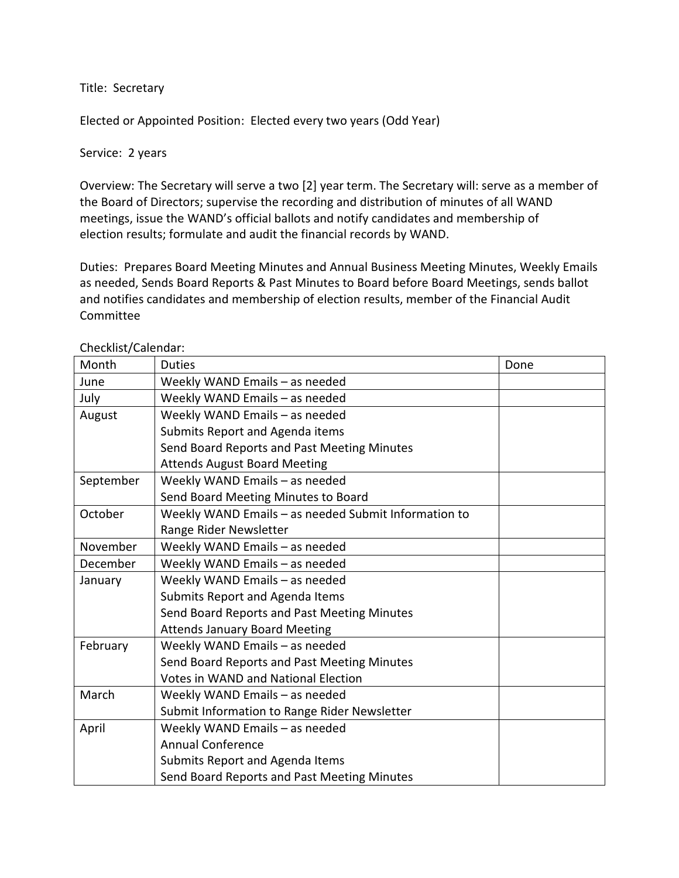Title: Secretary

Elected or Appointed Position: Elected every two years (Odd Year)

Service: 2 years

Overview: The Secretary will serve a two [2] year term. The Secretary will: serve as a member of the Board of Directors; supervise the recording and distribution of minutes of all WAND meetings, issue the WAND's official ballots and notify candidates and membership of election results; formulate and audit the financial records by WAND.

Duties: Prepares Board Meeting Minutes and Annual Business Meeting Minutes, Weekly Emails as needed, Sends Board Reports & Past Minutes to Board before Board Meetings, sends ballot and notifies candidates and membership of election results, member of the Financial Audit Committee

| Month     | <b>Duties</b>                                        | Done |
|-----------|------------------------------------------------------|------|
| June      | Weekly WAND Emails - as needed                       |      |
| July      | Weekly WAND Emails - as needed                       |      |
| August    | Weekly WAND Emails - as needed                       |      |
|           | Submits Report and Agenda items                      |      |
|           | Send Board Reports and Past Meeting Minutes          |      |
|           | <b>Attends August Board Meeting</b>                  |      |
| September | Weekly WAND Emails - as needed                       |      |
|           | Send Board Meeting Minutes to Board                  |      |
| October   | Weekly WAND Emails - as needed Submit Information to |      |
|           | Range Rider Newsletter                               |      |
| November  | Weekly WAND Emails - as needed                       |      |
| December  | Weekly WAND Emails - as needed                       |      |
| January   | Weekly WAND Emails - as needed                       |      |
|           | Submits Report and Agenda Items                      |      |
|           | Send Board Reports and Past Meeting Minutes          |      |
|           | <b>Attends January Board Meeting</b>                 |      |
| February  | Weekly WAND Emails - as needed                       |      |
|           | Send Board Reports and Past Meeting Minutes          |      |
|           | <b>Votes in WAND and National Election</b>           |      |
| March     | Weekly WAND Emails - as needed                       |      |
|           | Submit Information to Range Rider Newsletter         |      |
| April     | Weekly WAND Emails - as needed                       |      |
|           | <b>Annual Conference</b>                             |      |
|           | Submits Report and Agenda Items                      |      |
|           | Send Board Reports and Past Meeting Minutes          |      |

Checklist/Calendar: